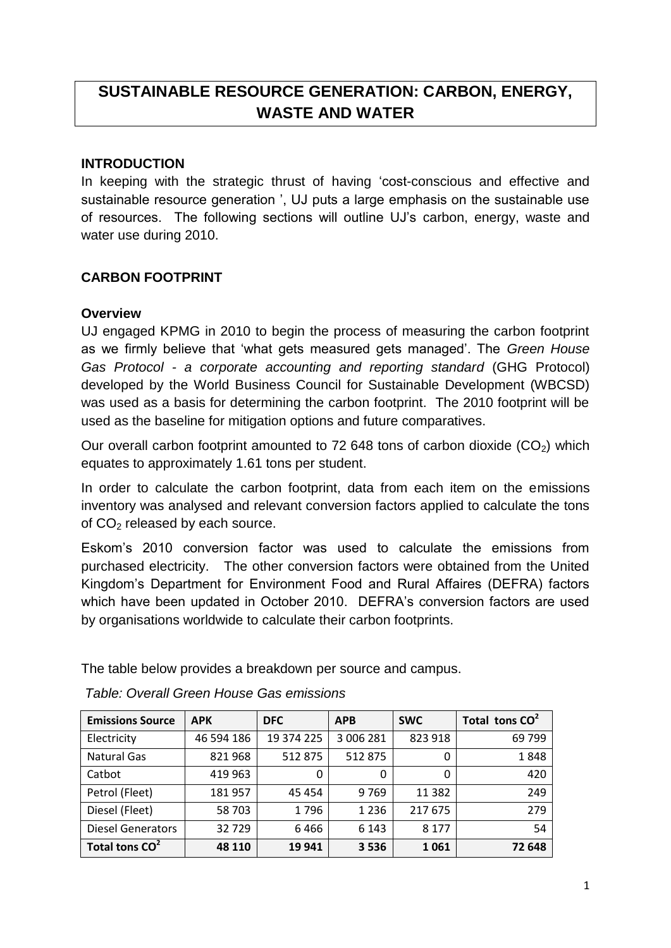# **SUSTAINABLE RESOURCE GENERATION: CARBON, ENERGY, WASTE AND WATER**

### **INTRODUCTION**

In keeping with the strategic thrust of having "cost-conscious and effective and sustainable resource generation ', UJ puts a large emphasis on the sustainable use of resources. The following sections will outline UJ"s carbon, energy, waste and water use during 2010.

# **CARBON FOOTPRINT**

### **Overview**

UJ engaged KPMG in 2010 to begin the process of measuring the carbon footprint as we firmly believe that "what gets measured gets managed". The *Green House Gas Protocol - a corporate accounting and reporting standard* (GHG Protocol) developed by the World Business Council for Sustainable Development (WBCSD) was used as a basis for determining the carbon footprint. The 2010 footprint will be used as the baseline for mitigation options and future comparatives.

Our overall carbon footprint amounted to 72 648 tons of carbon dioxide  $(CO<sub>2</sub>)$  which equates to approximately 1.61 tons per student.

In order to calculate the carbon footprint, data from each item on the emissions inventory was analysed and relevant conversion factors applied to calculate the tons of CO<sub>2</sub> released by each source.

Eskom"s 2010 conversion factor was used to calculate the emissions from purchased electricity. The other conversion factors were obtained from the United Kingdom"s Department for Environment Food and Rural Affaires (DEFRA) factors which have been updated in October 2010. DEFRA's conversion factors are used by organisations worldwide to calculate their carbon footprints.

The table below provides a breakdown per source and campus.

| <b>Emissions Source</b>    | <b>APK</b> | <b>DFC</b> | <b>APB</b> | <b>SWC</b> | Total tons CO <sup>2</sup> |
|----------------------------|------------|------------|------------|------------|----------------------------|
| Electricity                | 46 594 186 | 19 374 225 | 3 006 281  | 823 918    | 69 799                     |
| <b>Natural Gas</b>         | 821968     | 512875     | 512 875    | 0          | 1848                       |
| Catbot                     | 419 963    | 0          | 0          | 0          | 420                        |
| Petrol (Fleet)             | 181957     | 45454      | 9769       | 11 3 8 2   | 249                        |
| Diesel (Fleet)             | 58703      | 1796       | 1 2 3 6    | 217 675    | 279                        |
| <b>Diesel Generators</b>   | 32729      | 6466       | 6 1 4 3    | 8 1 7 7    | 54                         |
| Total tons CO <sup>2</sup> | 48 110     | 19 941     | 3536       | 1061       | 72 648                     |

*Table: Overall Green House Gas emissions*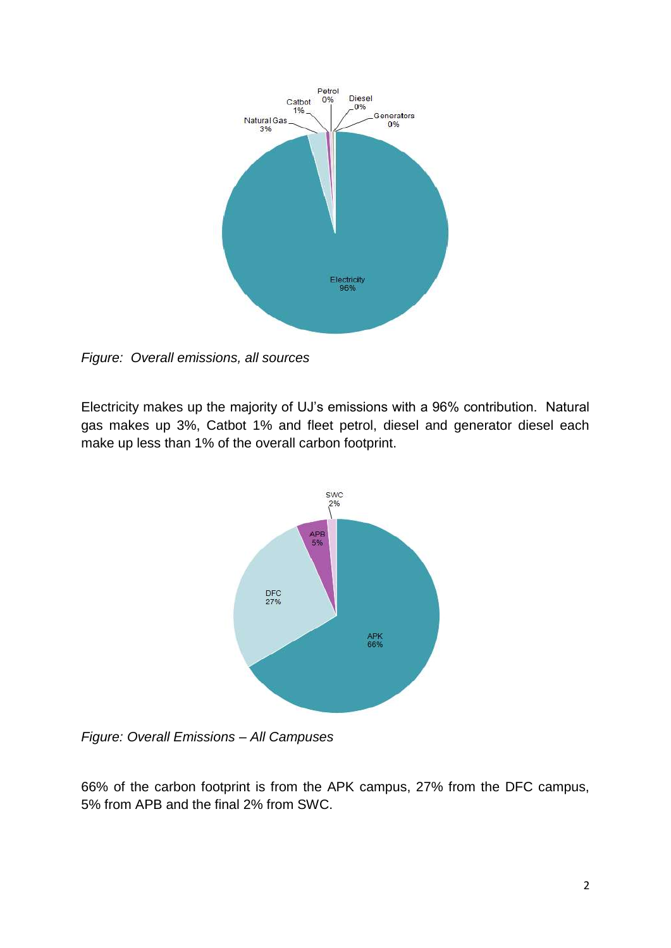

*Figure: Overall emissions, all sources*

Electricity makes up the majority of UJ"s emissions with a 96% contribution. Natural gas makes up 3%, Catbot 1% and fleet petrol, diesel and generator diesel each make up less than 1% of the overall carbon footprint.



*Figure: Overall Emissions – All Campuses*

66% of the carbon footprint is from the APK campus, 27% from the DFC campus, 5% from APB and the final 2% from SWC.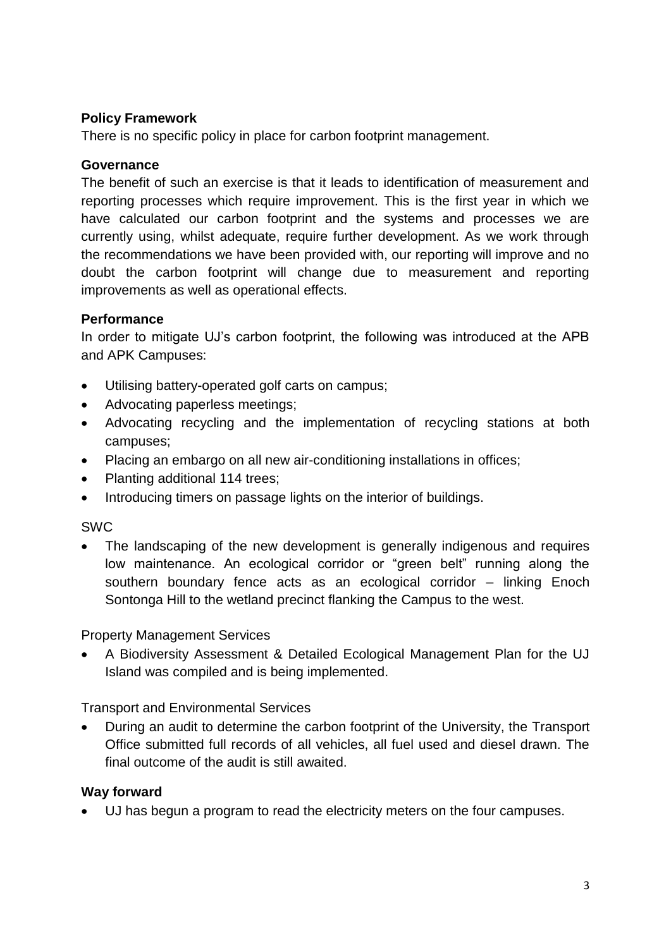### **Policy Framework**

There is no specific policy in place for carbon footprint management.

### **Governance**

The benefit of such an exercise is that it leads to identification of measurement and reporting processes which require improvement. This is the first year in which we have calculated our carbon footprint and the systems and processes we are currently using, whilst adequate, require further development. As we work through the recommendations we have been provided with, our reporting will improve and no doubt the carbon footprint will change due to measurement and reporting improvements as well as operational effects.

# **Performance**

In order to mitigate UJ"s carbon footprint, the following was introduced at the APB and APK Campuses:

- Utilising battery-operated golf carts on campus;
- Advocating paperless meetings;
- Advocating recycling and the implementation of recycling stations at both campuses;
- Placing an embargo on all new air-conditioning installations in offices;
- Planting additional 114 trees;
- Introducing timers on passage lights on the interior of buildings.

### SWC

• The landscaping of the new development is generally indigenous and requires low maintenance. An ecological corridor or "green belt" running along the southern boundary fence acts as an ecological corridor – linking Enoch Sontonga Hill to the wetland precinct flanking the Campus to the west.

Property Management Services

 A Biodiversity Assessment & Detailed Ecological Management Plan for the UJ Island was compiled and is being implemented.

Transport and Environmental Services

 During an audit to determine the carbon footprint of the University, the Transport Office submitted full records of all vehicles, all fuel used and diesel drawn. The final outcome of the audit is still awaited.

# **Way forward**

UJ has begun a program to read the electricity meters on the four campuses.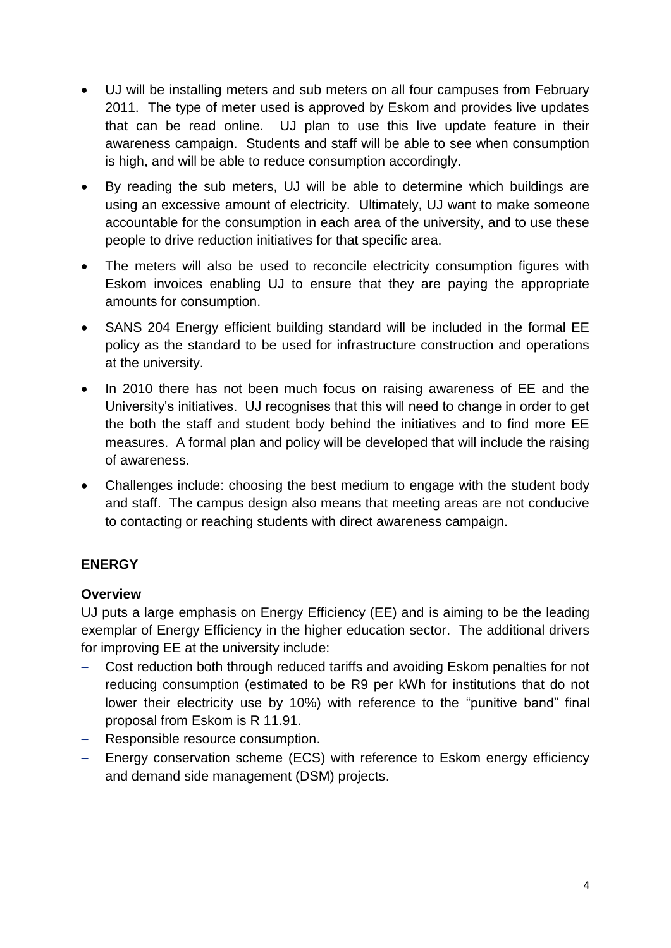- UJ will be installing meters and sub meters on all four campuses from February 2011. The type of meter used is approved by Eskom and provides live updates that can be read online. UJ plan to use this live update feature in their awareness campaign. Students and staff will be able to see when consumption is high, and will be able to reduce consumption accordingly.
- By reading the sub meters, UJ will be able to determine which buildings are using an excessive amount of electricity. Ultimately, UJ want to make someone accountable for the consumption in each area of the university, and to use these people to drive reduction initiatives for that specific area.
- The meters will also be used to reconcile electricity consumption figures with Eskom invoices enabling UJ to ensure that they are paying the appropriate amounts for consumption.
- SANS 204 Energy efficient building standard will be included in the formal EE policy as the standard to be used for infrastructure construction and operations at the university.
- In 2010 there has not been much focus on raising awareness of EE and the University"s initiatives. UJ recognises that this will need to change in order to get the both the staff and student body behind the initiatives and to find more EE measures. A formal plan and policy will be developed that will include the raising of awareness.
- Challenges include: choosing the best medium to engage with the student body and staff. The campus design also means that meeting areas are not conducive to contacting or reaching students with direct awareness campaign.

# **ENERGY**

# **Overview**

UJ puts a large emphasis on Energy Efficiency (EE) and is aiming to be the leading exemplar of Energy Efficiency in the higher education sector. The additional drivers for improving EE at the university include:

- Cost reduction both through reduced tariffs and avoiding Eskom penalties for not reducing consumption (estimated to be R9 per kWh for institutions that do not lower their electricity use by 10%) with reference to the "punitive band" final proposal from Eskom is R 11.91.
- Responsible resource consumption.
- Energy conservation scheme (ECS) with reference to Eskom energy efficiency and demand side management (DSM) projects.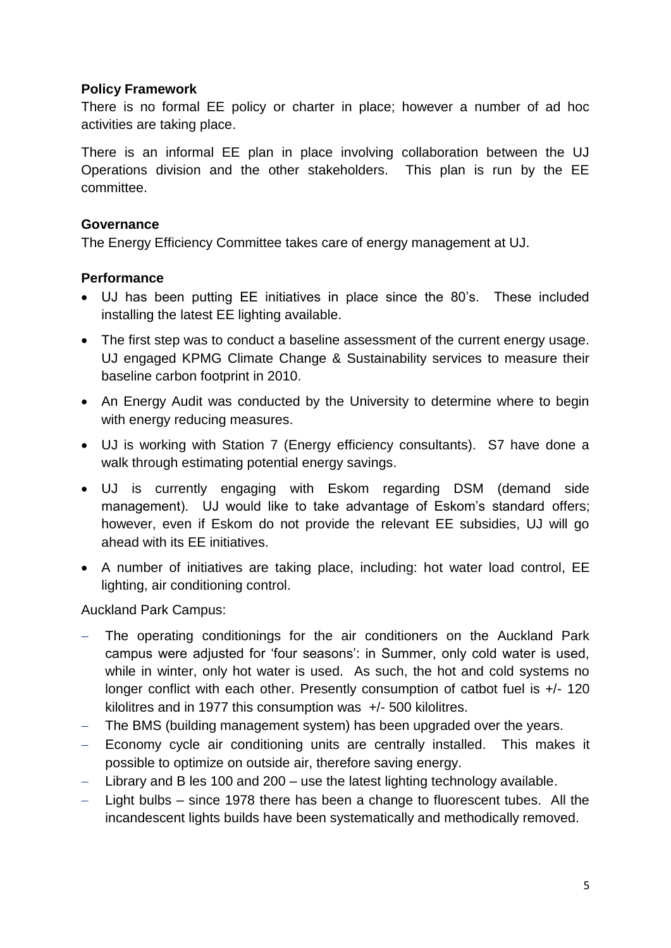#### **Policy Framework**

There is no formal EE policy or charter in place; however a number of ad hoc activities are taking place.

There is an informal EE plan in place involving collaboration between the UJ Operations division and the other stakeholders. This plan is run by the EE committee.

#### **Governance**

The Energy Efficiency Committee takes care of energy management at UJ.

#### **Performance**

- UJ has been putting EE initiatives in place since the 80"s. These included installing the latest EE lighting available.
- The first step was to conduct a baseline assessment of the current energy usage. UJ engaged KPMG Climate Change & Sustainability services to measure their baseline carbon footprint in 2010.
- An Energy Audit was conducted by the University to determine where to begin with energy reducing measures.
- UJ is working with Station 7 (Energy efficiency consultants). S7 have done a walk through estimating potential energy savings.
- UJ is currently engaging with Eskom regarding DSM (demand side management). UJ would like to take advantage of Eskom"s standard offers; however, even if Eskom do not provide the relevant EE subsidies, UJ will go ahead with its EE initiatives.
- A number of initiatives are taking place, including: hot water load control, EE lighting, air conditioning control.

Auckland Park Campus:

- The operating conditionings for the air conditioners on the Auckland Park campus were adjusted for "four seasons": in Summer, only cold water is used, while in winter, only hot water is used. As such, the hot and cold systems no longer conflict with each other. Presently consumption of catbot fuel is +/- 120 kilolitres and in 1977 this consumption was +/- 500 kilolitres.
- The BMS (building management system) has been upgraded over the years.
- Economy cycle air conditioning units are centrally installed. This makes it possible to optimize on outside air, therefore saving energy.
- Library and B les 100 and 200 use the latest lighting technology available.
- $-$  Light bulbs since 1978 there has been a change to fluorescent tubes. All the incandescent lights builds have been systematically and methodically removed.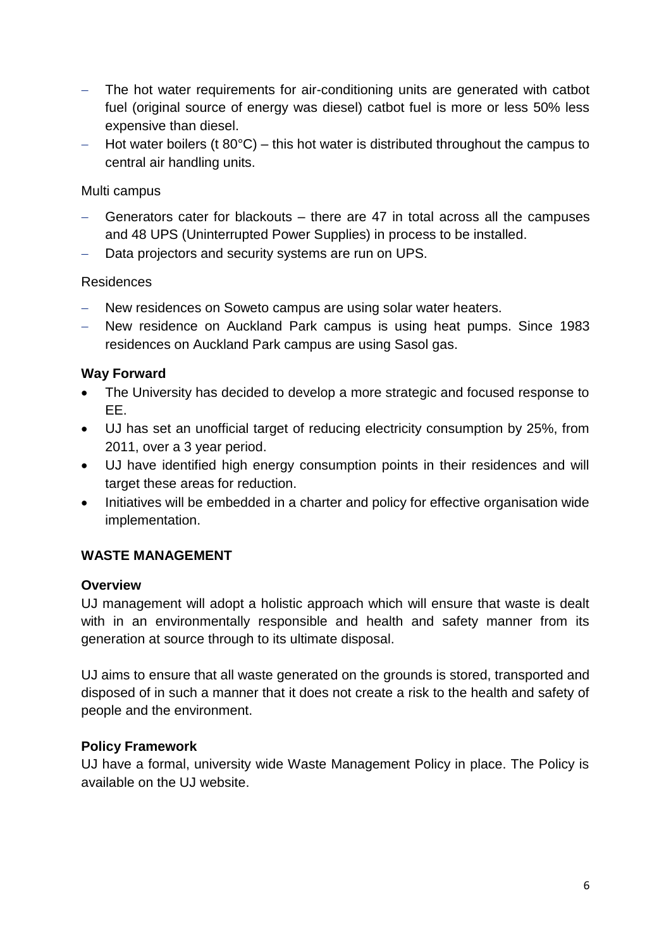- The hot water requirements for air-conditioning units are generated with catbot fuel (original source of energy was diesel) catbot fuel is more or less 50% less expensive than diesel.
- $-$  Hot water boilers (t 80 $^{\circ}$ C) this hot water is distributed throughout the campus to central air handling units.

### Multi campus

- Generators cater for blackouts there are 47 in total across all the campuses and 48 UPS (Uninterrupted Power Supplies) in process to be installed.
- Data projectors and security systems are run on UPS.

# Residences

- New residences on Soweto campus are using solar water heaters.
- New residence on Auckland Park campus is using heat pumps. Since 1983 residences on Auckland Park campus are using Sasol gas.

# **Way Forward**

- The University has decided to develop a more strategic and focused response to EE.
- UJ has set an unofficial target of reducing electricity consumption by 25%, from 2011, over a 3 year period.
- UJ have identified high energy consumption points in their residences and will target these areas for reduction.
- Initiatives will be embedded in a charter and policy for effective organisation wide implementation.

# **WASTE MANAGEMENT**

### **Overview**

UJ management will adopt a holistic approach which will ensure that waste is dealt with in an environmentally responsible and health and safety manner from its generation at source through to its ultimate disposal.

UJ aims to ensure that all waste generated on the grounds is stored, transported and disposed of in such a manner that it does not create a risk to the health and safety of people and the environment.

### **Policy Framework**

UJ have a formal, university wide Waste Management Policy in place. The Policy is available on the UJ website.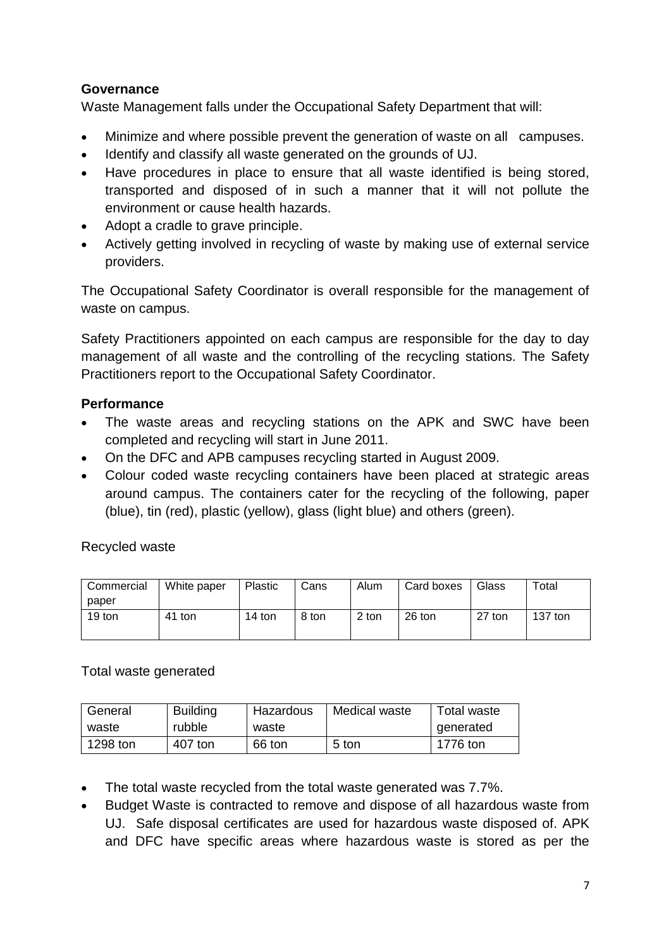# **Governance**

Waste Management falls under the Occupational Safety Department that will:

- Minimize and where possible prevent the generation of waste on all campuses.
- Identify and classify all waste generated on the grounds of UJ.
- Have procedures in place to ensure that all waste identified is being stored, transported and disposed of in such a manner that it will not pollute the environment or cause health hazards.
- Adopt a cradle to grave principle.
- Actively getting involved in recycling of waste by making use of external service providers.

The Occupational Safety Coordinator is overall responsible for the management of waste on campus.

Safety Practitioners appointed on each campus are responsible for the day to day management of all waste and the controlling of the recycling stations. The Safety Practitioners report to the Occupational Safety Coordinator.

# **Performance**

- The waste areas and recycling stations on the APK and SWC have been completed and recycling will start in June 2011.
- On the DFC and APB campuses recycling started in August 2009.
- Colour coded waste recycling containers have been placed at strategic areas around campus. The containers cater for the recycling of the following, paper (blue), tin (red), plastic (yellow), glass (light blue) and others (green).

### Recycled waste

| Commercial | White paper | Plastic | Cans  | Alum  | Card boxes | Glass  | $\tau$ otal |
|------------|-------------|---------|-------|-------|------------|--------|-------------|
| paper      |             |         |       |       |            |        |             |
| 19 ton     | 41 ton      | 14 ton  | 8 ton | 2 ton | 26 ton     | 27 ton | $137$ ton   |
|            |             |         |       |       |            |        |             |

### Total waste generated

| General  | <b>Building</b> | Hazardous | Medical waste | Total waste |
|----------|-----------------|-----------|---------------|-------------|
| waste    | rubble          | waste     |               | generated   |
| 1298 ton | 407 ton         | 66 ton    | 5 ton         | 1776 ton    |

- The total waste recycled from the total waste generated was 7.7%.
- Budget Waste is contracted to remove and dispose of all hazardous waste from UJ. Safe disposal certificates are used for hazardous waste disposed of. APK and DFC have specific areas where hazardous waste is stored as per the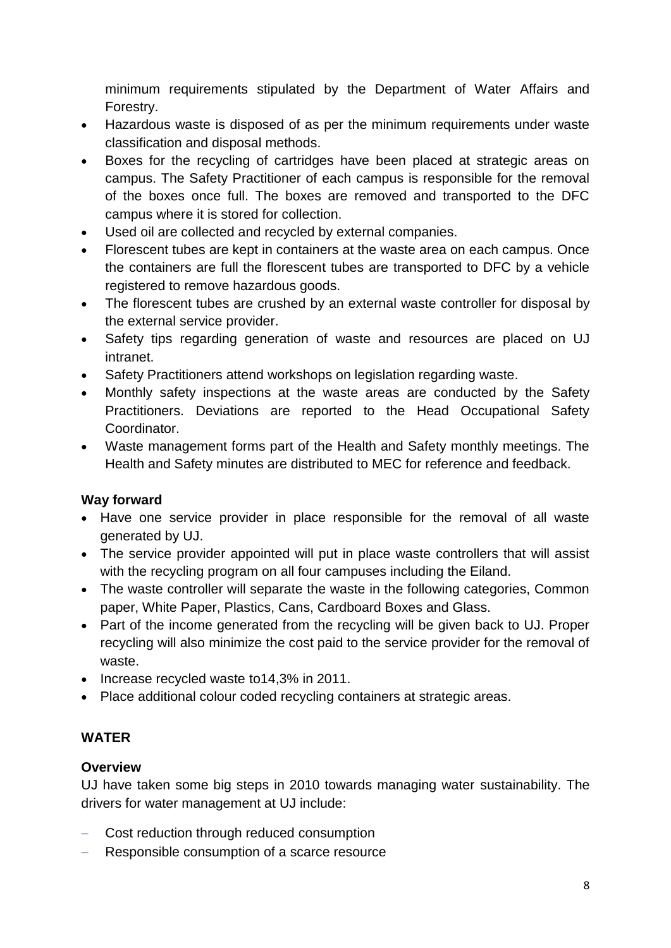minimum requirements stipulated by the Department of Water Affairs and Forestry.

- Hazardous waste is disposed of as per the minimum requirements under waste classification and disposal methods.
- Boxes for the recycling of cartridges have been placed at strategic areas on campus. The Safety Practitioner of each campus is responsible for the removal of the boxes once full. The boxes are removed and transported to the DFC campus where it is stored for collection.
- Used oil are collected and recycled by external companies.
- Florescent tubes are kept in containers at the waste area on each campus. Once the containers are full the florescent tubes are transported to DFC by a vehicle registered to remove hazardous goods.
- The florescent tubes are crushed by an external waste controller for disposal by the external service provider.
- Safety tips regarding generation of waste and resources are placed on UJ intranet.
- Safety Practitioners attend workshops on legislation regarding waste.
- Monthly safety inspections at the waste areas are conducted by the Safety Practitioners. Deviations are reported to the Head Occupational Safety Coordinator.
- Waste management forms part of the Health and Safety monthly meetings. The Health and Safety minutes are distributed to MEC for reference and feedback.

### **Way forward**

- Have one service provider in place responsible for the removal of all waste generated by UJ.
- The service provider appointed will put in place waste controllers that will assist with the recycling program on all four campuses including the Eiland.
- The waste controller will separate the waste in the following categories, Common paper, White Paper, Plastics, Cans, Cardboard Boxes and Glass.
- Part of the income generated from the recycling will be given back to UJ. Proper recycling will also minimize the cost paid to the service provider for the removal of waste.
- $\bullet$  Increase recycled waste to 14,3% in 2011.
- Place additional colour coded recycling containers at strategic areas.

# **WATER**

# **Overview**

UJ have taken some big steps in 2010 towards managing water sustainability. The drivers for water management at UJ include:

- Cost reduction through reduced consumption
- Responsible consumption of a scarce resource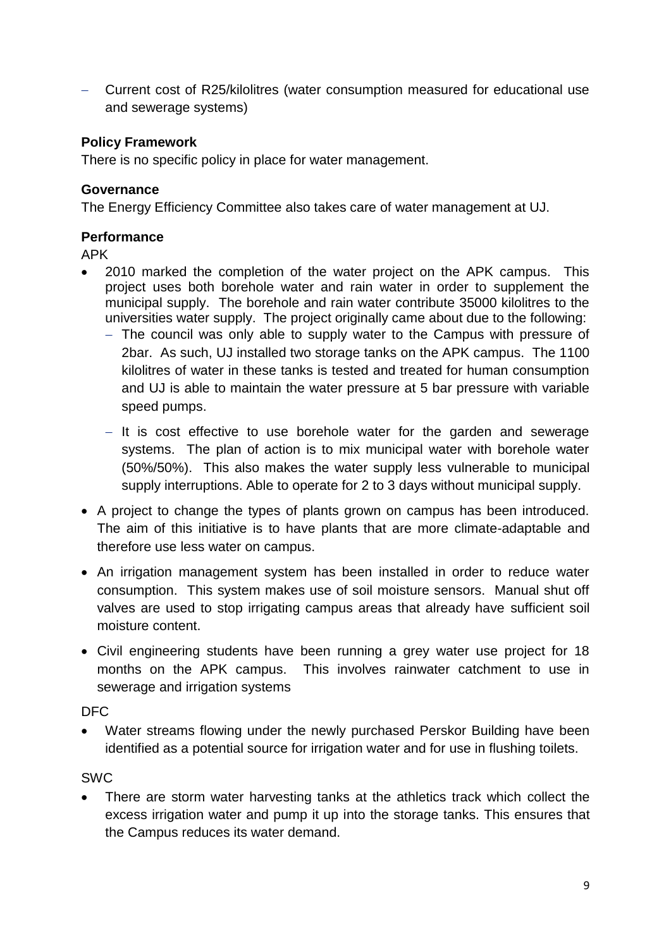Current cost of R25/kilolitres (water consumption measured for educational use and sewerage systems)

### **Policy Framework**

There is no specific policy in place for water management.

### **Governance**

The Energy Efficiency Committee also takes care of water management at UJ.

# **Performance**

APK

- 2010 marked the completion of the water project on the APK campus. This project uses both borehole water and rain water in order to supplement the municipal supply. The borehole and rain water contribute 35000 kilolitres to the universities water supply. The project originally came about due to the following:
	- The council was only able to supply water to the Campus with pressure of 2bar. As such, UJ installed two storage tanks on the APK campus. The 1100 kilolitres of water in these tanks is tested and treated for human consumption and UJ is able to maintain the water pressure at 5 bar pressure with variable speed pumps.
	- $-$  It is cost effective to use borehole water for the garden and sewerage systems. The plan of action is to mix municipal water with borehole water (50%/50%). This also makes the water supply less vulnerable to municipal supply interruptions. Able to operate for 2 to 3 days without municipal supply.
- A project to change the types of plants grown on campus has been introduced. The aim of this initiative is to have plants that are more climate-adaptable and therefore use less water on campus.
- An irrigation management system has been installed in order to reduce water consumption. This system makes use of soil moisture sensors. Manual shut off valves are used to stop irrigating campus areas that already have sufficient soil moisture content.
- Civil engineering students have been running a grey water use project for 18 months on the APK campus. This involves rainwater catchment to use in sewerage and irrigation systems

DFC

 Water streams flowing under the newly purchased Perskor Building have been identified as a potential source for irrigation water and for use in flushing toilets.

SWC

 There are storm water harvesting tanks at the athletics track which collect the excess irrigation water and pump it up into the storage tanks. This ensures that the Campus reduces its water demand.